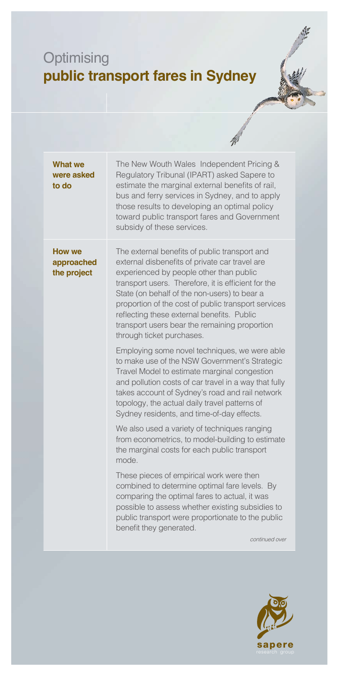## **Optimising public transport fares in Sydney**

| <b>What we</b><br>were asked<br>to do      | The New Wouth Wales Independent Pricing &<br>Regulatory Tribunal (IPART) asked Sapere to<br>estimate the marginal external benefits of rail,<br>bus and ferry services in Sydney, and to apply<br>those results to developing an optimal policy<br>toward public transport fares and Government<br>subsidy of these services.                                                                                                        |
|--------------------------------------------|--------------------------------------------------------------------------------------------------------------------------------------------------------------------------------------------------------------------------------------------------------------------------------------------------------------------------------------------------------------------------------------------------------------------------------------|
| <b>How we</b><br>approached<br>the project | The external benefits of public transport and<br>external disbenefits of private car travel are<br>experienced by people other than public<br>transport users. Therefore, it is efficient for the<br>State (on behalf of the non-users) to bear a<br>proportion of the cost of public transport services<br>reflecting these external benefits. Public<br>transport users bear the remaining proportion<br>through ticket purchases. |
|                                            | Employing some novel techniques, we were able<br>to make use of the NSW Government's Strategic<br>Travel Model to estimate marginal congestion<br>and pollution costs of car travel in a way that fully<br>takes account of Sydney's road and rail network<br>topology, the actual daily travel patterns of<br>Sydney residents, and time-of-day effects.                                                                            |
|                                            | We also used a variety of techniques ranging<br>from econometrics, to model-building to estimate<br>the marginal costs for each public transport<br>mode.                                                                                                                                                                                                                                                                            |
|                                            | These pieces of empirical work were then<br>combined to determine optimal fare levels. By<br>comparing the optimal fares to actual, it was<br>possible to assess whether existing subsidies to<br>public transport were proportionate to the public<br>benefit they generated.<br>continued over                                                                                                                                     |
|                                            |                                                                                                                                                                                                                                                                                                                                                                                                                                      |